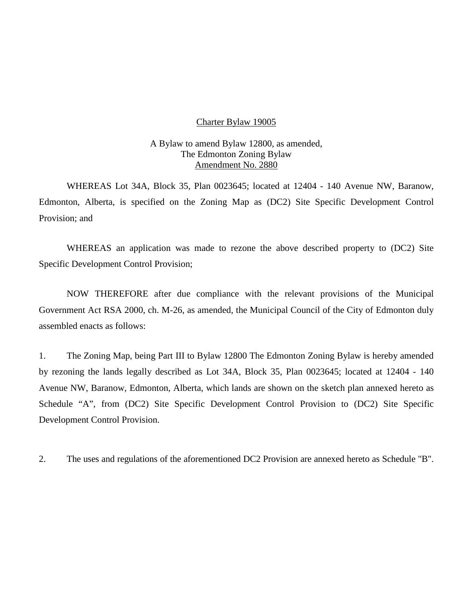#### Charter Bylaw 19005

### A Bylaw to amend Bylaw 12800, as amended, The Edmonton Zoning Bylaw Amendment No. 2880

WHEREAS Lot 34A, Block 35, Plan 0023645; located at 12404 - 140 Avenue NW, Baranow, Edmonton, Alberta, is specified on the Zoning Map as (DC2) Site Specific Development Control Provision; and

WHEREAS an application was made to rezone the above described property to (DC2) Site Specific Development Control Provision;

NOW THEREFORE after due compliance with the relevant provisions of the Municipal Government Act RSA 2000, ch. M-26, as amended, the Municipal Council of the City of Edmonton duly assembled enacts as follows:

1. The Zoning Map, being Part III to Bylaw 12800 The Edmonton Zoning Bylaw is hereby amended by rezoning the lands legally described as Lot 34A, Block 35, Plan 0023645; located at 12404 - 140 Avenue NW, Baranow, Edmonton, Alberta, which lands are shown on the sketch plan annexed hereto as Schedule "A", from (DC2) Site Specific Development Control Provision to (DC2) Site Specific Development Control Provision.

2. The uses and regulations of the aforementioned DC2 Provision are annexed hereto as Schedule "B".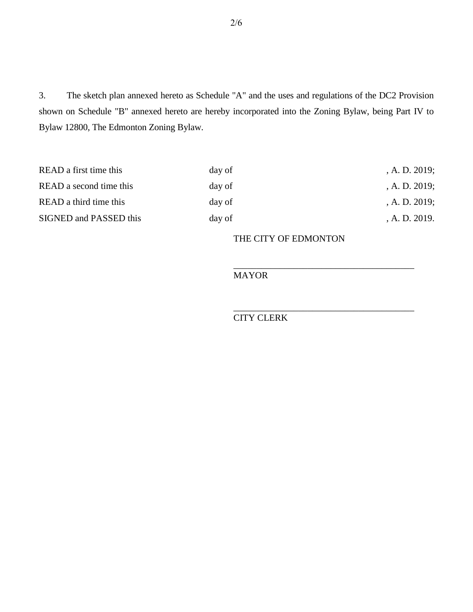3. The sketch plan annexed hereto as Schedule "A" and the uses and regulations of the DC2 Provision shown on Schedule "B" annexed hereto are hereby incorporated into the Zoning Bylaw, being Part IV to Bylaw 12800, The Edmonton Zoning Bylaw.

| READ a first time this  | day of | A. D. 2019; |
|-------------------------|--------|-------------|
| READ a second time this | day of | A. D. 2019; |
| READ a third time this  | day of | A. D. 2019; |
| SIGNED and PASSED this  | day of | A. D. 2019. |

## THE CITY OF EDMONTON

\_\_\_\_\_\_\_\_\_\_\_\_\_\_\_\_\_\_\_\_\_\_\_\_\_\_\_\_\_\_\_\_\_\_\_\_\_\_\_

\_\_\_\_\_\_\_\_\_\_\_\_\_\_\_\_\_\_\_\_\_\_\_\_\_\_\_\_\_\_\_\_\_\_\_\_\_\_\_

## MAYOR

## CITY CLERK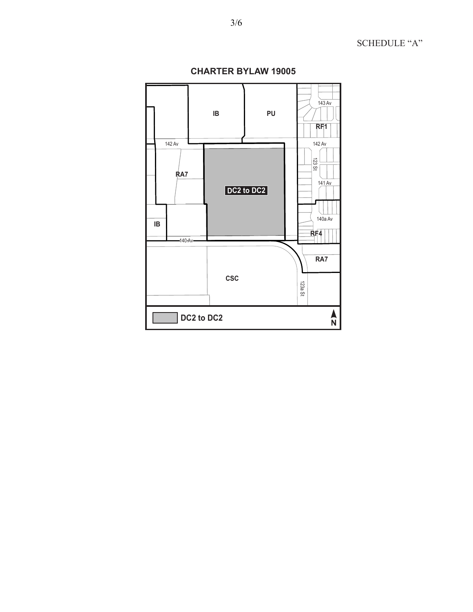$143 \text{ Av}$ PU  $\sf IB$  $RF1$ 142 Av 142 Av  $\frac{123}{25}$  $R$ A7  $141$  Av DC2 to DC2 140a Av  $\sf IB$  $RF4$  $-140$  Av RA7  $csc$ 123a St  $\sum_{N}$  $\sqrt{\phantom{a}}$  DC2 to DC2

**CHARTER BYLAW 19005** 

# SCHEDULE "A"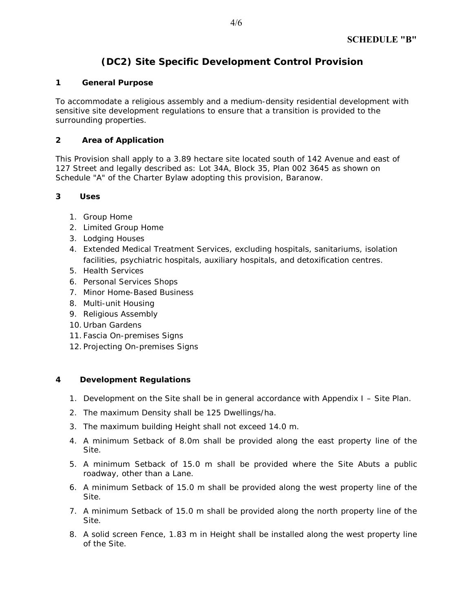# **(DC2) Site Specific Development Control Provision**

#### **1 General Purpose**

To accommodate a religious assembly and a medium-density residential development with sensitive site development regulations to ensure that a transition is provided to the surrounding properties.

### **2 Area of Application**

This Provision shall apply to a 3.89 hectare site located south of 142 Avenue and east of 127 Street and legally described as: Lot 34A, Block 35, Plan 002 3645 as shown on Schedule "A" of the Charter Bylaw adopting this provision, Baranow.

### **3 Uses**

- 1. Group Home
- 2. Limited Group Home
- 3. Lodging Houses
- 4. Extended Medical Treatment Services, excluding hospitals, sanitariums, isolation facilities, psychiatric hospitals, auxiliary hospitals, and detoxification centres.
- 5. Health Services
- 6. Personal Services Shops
- 7. Minor Home-Based Business
- 8. Multi-unit Housing
- 9. Religious Assembly
- 10. Urban Gardens
- 11. Fascia On-premises Signs
- 12. Projecting On-premises Signs

#### **4 Development Regulations**

- 1. Development on the Site shall be in general accordance with Appendix I Site Plan.
- 2. The maximum Density shall be 125 Dwellings/ha.
- 3. The maximum building Height shall not exceed 14.0 m.
- 4. A minimum Setback of 8.0m shall be provided along the east property line of the Site.
- 5. A minimum Setback of 15.0 m shall be provided where the Site Abuts a public roadway, other than a Lane.
- 6. A minimum Setback of 15.0 m shall be provided along the west property line of the Site.
- 7. A minimum Setback of 15.0 m shall be provided along the north property line of the Site.
- 8. A solid screen Fence, 1.83 m in Height shall be installed along the west property line of the Site.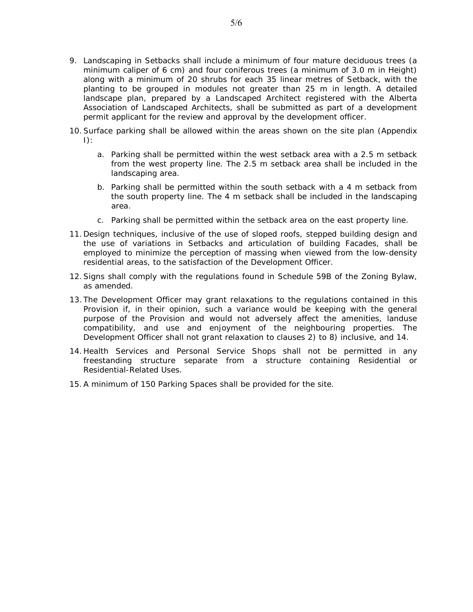- 9. Landscaping in Setbacks shall include a minimum of four mature deciduous trees (a minimum caliper of 6 cm) and four coniferous trees (a minimum of 3.0 m in Height) along with a minimum of 20 shrubs for each 35 linear metres of Setback, with the planting to be grouped in modules not greater than 25 m in length. A detailed landscape plan, prepared by a Landscaped Architect registered with the Alberta Association of Landscaped Architects, shall be submitted as part of a development permit applicant for the review and approval by the development officer.
- 10.Surface parking shall be allowed within the areas shown on the site plan (Appendix  $\vert$ ):
	- a. Parking shall be permitted within the west setback area with a 2.5 m setback from the west property line. The 2.5 m setback area shall be included in the landscaping area.
	- b. Parking shall be permitted within the south setback with a 4 m setback from the south property line. The 4 m setback shall be included in the landscaping area.
	- c. Parking shall be permitted within the setback area on the east property line.
- 11. Design techniques, inclusive of the use of sloped roofs, stepped building design and the use of variations in Setbacks and articulation of building Facades, shall be employed to minimize the perception of massing when viewed from the low-density residential areas, to the satisfaction of the Development Officer.
- 12.Signs shall comply with the regulations found in Schedule 59B of the Zoning Bylaw, as amended.
- 13. The Development Officer may grant relaxations to the regulations contained in this Provision if, in their opinion, such a variance would be keeping with the general purpose of the Provision and would not adversely affect the amenities, landuse compatibility, and use and enjoyment of the neighbouring properties. The Development Officer shall not grant relaxation to clauses 2) to 8) inclusive, and 14.
- 14. Health Services and Personal Service Shops shall not be permitted in any freestanding structure separate from a structure containing Residential or Residential-Related Uses.
- 15.A minimum of 150 Parking Spaces shall be provided for the site.